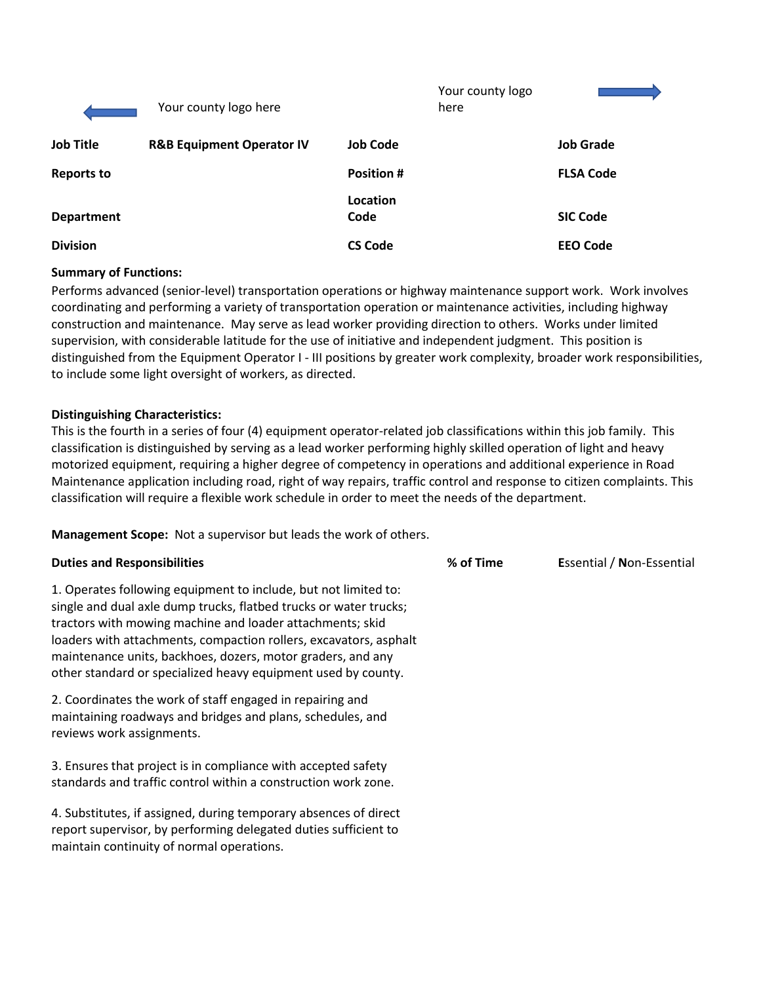|                   | Your county logo here                |                   | Your county logo<br>here |                  |
|-------------------|--------------------------------------|-------------------|--------------------------|------------------|
| <b>Job Title</b>  | <b>R&amp;B Equipment Operator IV</b> | <b>Job Code</b>   |                          | <b>Job Grade</b> |
| <b>Reports to</b> |                                      | <b>Position #</b> |                          | <b>FLSA Code</b> |
| <b>Department</b> |                                      | Location<br>Code  |                          | <b>SIC Code</b>  |
| <b>Division</b>   |                                      | <b>CS Code</b>    |                          | <b>EEO Code</b>  |

#### **Summary of Functions:**

Performs advanced (senior-level) transportation operations or highway maintenance support work. Work involves coordinating and performing a variety of transportation operation or maintenance activities, including highway construction and maintenance. May serve as lead worker providing direction to others. Works under limited supervision, with considerable latitude for the use of initiative and independent judgment. This position is distinguished from the Equipment Operator I - III positions by greater work complexity, broader work responsibilities, to include some light oversight of workers, as directed.

#### **Distinguishing Characteristics:**

This is the fourth in a series of four (4) equipment operator-related job classifications within this job family. This classification is distinguished by serving as a lead worker performing highly skilled operation of light and heavy motorized equipment, requiring a higher degree of competency in operations and additional experience in Road Maintenance application including road, right of way repairs, traffic control and response to citizen complaints. This classification will require a flexible work schedule in order to meet the needs of the department.

**Management Scope:** Not a supervisor but leads the work of others.

#### **Duties and Responsibilities % of Time E**ssential / **N**on-Essential

1. Operates following equipment to include, but not limited to: single and dual axle dump trucks, flatbed trucks or water trucks; tractors with mowing machine and loader attachments; skid loaders with attachments, compaction rollers, excavators, asphalt maintenance units, backhoes, dozers, motor graders, and any other standard or specialized heavy equipment used by county.

2. Coordinates the work of staff engaged in repairing and maintaining roadways and bridges and plans, schedules, and reviews work assignments.

3. Ensures that project is in compliance with accepted safety standards and traffic control within a construction work zone.

4. Substitutes, if assigned, during temporary absences of direct report supervisor, by performing delegated duties sufficient to maintain continuity of normal operations.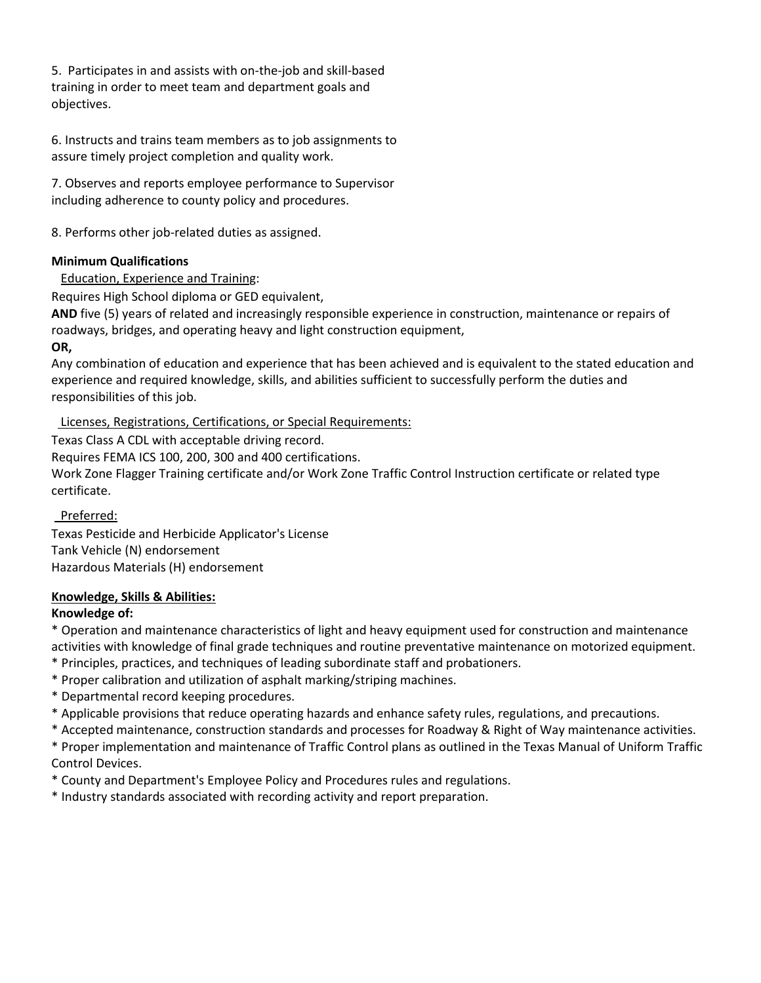5. Participates in and assists with on-the-job and skill-based training in order to meet team and department goals and objectives.

6. Instructs and trains team members as to job assignments to assure timely project completion and quality work.

7. Observes and reports employee performance to Supervisor including adherence to county policy and procedures.

8. Performs other job-related duties as assigned.

## **Minimum Qualifications**

Education, Experience and Training:

Requires High School diploma or GED equivalent,

**AND** five (5) years of related and increasingly responsible experience in construction, maintenance or repairs of roadways, bridges, and operating heavy and light construction equipment,

#### **OR,**

Any combination of education and experience that has been achieved and is equivalent to the stated education and experience and required knowledge, skills, and abilities sufficient to successfully perform the duties and responsibilities of this job.

Licenses, Registrations, Certifications, or Special Requirements:

Texas Class A CDL with acceptable driving record.

Requires FEMA ICS 100, 200, 300 and 400 certifications.

Work Zone Flagger Training certificate and/or Work Zone Traffic Control Instruction certificate or related type certificate.

Preferred:

Texas Pesticide and Herbicide Applicator's License Tank Vehicle (N) endorsement Hazardous Materials (H) endorsement

# **Knowledge, Skills & Abilities:**

# **Knowledge of:**

\* Operation and maintenance characteristics of light and heavy equipment used for construction and maintenance activities with knowledge of final grade techniques and routine preventative maintenance on motorized equipment.

- \* Principles, practices, and techniques of leading subordinate staff and probationers.
- \* Proper calibration and utilization of asphalt marking/striping machines.
- \* Departmental record keeping procedures.
- \* Applicable provisions that reduce operating hazards and enhance safety rules, regulations, and precautions.
- \* Accepted maintenance, construction standards and processes for Roadway & Right of Way maintenance activities.

\* Proper implementation and maintenance of Traffic Control plans as outlined in the Texas Manual of Uniform Traffic Control Devices.

\* County and Department's Employee Policy and Procedures rules and regulations.

\* Industry standards associated with recording activity and report preparation.